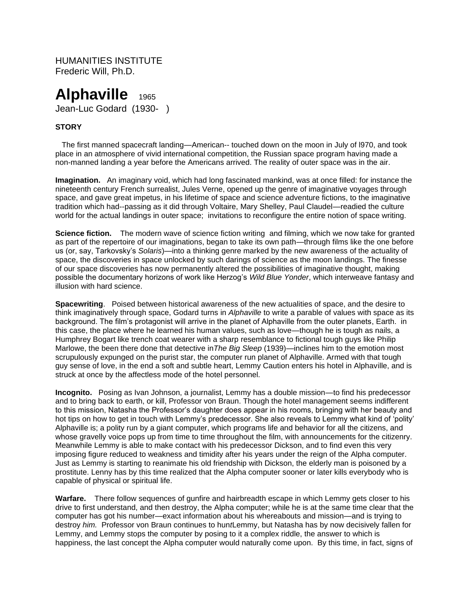HUMANITIES INSTITUTE Frederic Will, Ph.D.

# **Alphaville** 1965 Jean-Luc Godard (1930- )

## **STORY**

The first manned spacecraft landing—American-- touched down on the moon in July of l970, and took place in an atmosphere of vivid international competition, the Russian space program having made a non-manned landing a year before the Americans arrived. The reality of outer space was in the air.

**Imagination.** An imaginary void, which had long fascinated mankind, was at once filled: for instance the nineteenth century French surrealist, Jules Verne, opened up the genre of imaginative voyages through space, and gave great impetus, in his lifetime of space and science adventure fictions, to the imaginative tradition which had--passing as it did through Voltaire, Mary Shelley, Paul Claudel—readied the culture world for the actual landings in outer space; invitations to reconfigure the entire notion of space writing.

**Science fiction.** The modern wave of science fiction writing and filming, which we now take for granted as part of the repertoire of our imaginations, began to take its own path—through films like the one before us (or, say, Tarkovsky's *Solaris*)—into a thinking genre marked by the new awareness of the actuality of space, the discoveries in space unlocked by such darings of science as the moon landings. The finesse of our space discoveries has now permanently altered the possibilities of imaginative thought, making possible the documentary horizons of work like Herzog's *Wild Blue Yonder*, which interweave fantasy and illusion with hard science.

**Spacewriting**. Poised between historical awareness of the new actualities of space, and the desire to think imaginatively through space, Godard turns in *Alphaville* to write a parable of values with space as its background. The film's protagonist will arrive in the planet of Alphaville from the outer planets, Earth. in this case, the place where he learned his human values, such as love—though he is tough as nails, a Humphrey Bogart like trench coat wearer with a sharp resemblance to fictional tough guys like Philip Marlowe, the been there done that detective in*The Big Sleep* (1939)—inclines him to the emotion most scrupulously expunged on the purist star, the computer run planet of Alphaville. Armed with that tough guy sense of love, in the end a soft and subtle heart, Lemmy Caution enters his hotel in Alphaville, and is struck at once by the affectless mode of the hotel personnel.

**Incognito.** Posing as Ivan Johnson, a journalist, Lemmy has a double mission—to find his predecessor and to bring back to earth, or kill, Professor von Braun. Though the hotel management seems indifferent to this mission, Natasha the Professor's daughter does appear in his rooms, bringing with her beauty and hot tips on how to get in touch with Lemmy's predecessor. She also reveals to Lemmy what kind of 'polity' Alphaville is; a polity run by a giant computer, which programs life and behavior for all the citizens, and whose gravelly voice pops up from time to time throughout the film, with announcements for the citizenry. Meanwhile Lemmy is able to make contact with his predecessor Dickson, and to find even this very imposing figure reduced to weakness and timidity after his years under the reign of the Alpha computer. Just as Lemmy is starting to reanimate his old friendship with Dickson, the elderly man is poisoned by a prostitute. Lenny has by this time realized that the Alpha computer sooner or later kills everybody who is capable of physical or spiritual life.

**Warfare.** There follow sequences of gunfire and hairbreadth escape in which Lemmy gets closer to his drive to first understand, and then destroy, the Alpha computer; while he is at the same time clear that the computer has got his number—exact information about his whereabouts and mission—and is trying to destroy *him.* Professor von Braun continues to hun*t*Lemmy, but Natasha has by now decisively fallen for Lemmy, and Lemmy stops the computer by posing to it a complex riddle, the answer to which is happiness, the last concept the Alpha computer would naturally come upon. By this time, in fact, signs of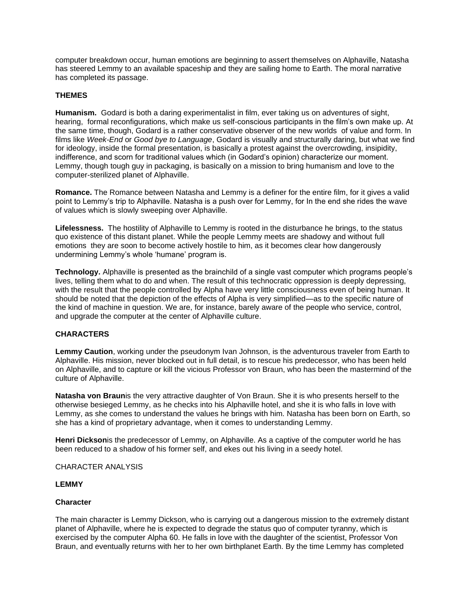computer breakdown occur, human emotions are beginning to assert themselves on Alphaville, Natasha has steered Lemmy to an available spaceship and they are sailing home to Earth. The moral narrative has completed its passage.

### **THEMES**

**Humanism.** Godard is both a daring experimentalist in film, ever taking us on adventures of sight, hearing, formal reconfigurations, which make us self-conscious participants in the film's own make up. At the same time, though, Godard is a rather conservative observer of the new worlds of value and form. In films like *Week-End* or *Good bye to Language*, Godard is visually and structurally daring, but what we find for ideology, inside the formal presentation, is basically a protest against the overcrowding, insipidity, indifference, and scorn for traditional values which (in Godard's opinion) characterize our moment. Lemmy, though tough guy in packaging, is basically on a mission to bring humanism and love to the computer-sterilized planet of Alphaville.

**Romance.** The Romance between Natasha and Lemmy is a definer for the entire film, for it gives a valid point to Lemmy's trip to Alphaville. Natasha is a push over for Lemmy, for In the end she rides the wave of values which is slowly sweeping over Alphaville.

**Lifelessness.** The hostility of Alphaville to Lemmy is rooted in the disturbance he brings, to the status quo existence of this distant planet. While the people Lemmy meets are shadowy and without full emotions they are soon to become actively hostile to him, as it becomes clear how dangerously undermining Lemmy's whole 'humane' program is.

**Technology.** Alphaville is presented as the brainchild of a single vast computer which programs people's lives, telling them what to do and when. The result of this technocratic oppression is deeply depressing, with the result that the people controlled by Alpha have very little consciousness even of being human. It should be noted that the depiction of the effects of Alpha is very simplified—as to the specific nature of the kind of machine in question. We are, for instance, barely aware of the people who service, control, and upgrade the computer at the center of Alphaville culture.

#### **CHARACTERS**

**Lemmy Caution**, working under the pseudonym Ivan Johnson, is the adventurous traveler from Earth to Alphaville. His mission, never blocked out in full detail, is to rescue his predecessor, who has been held on Alphaville, and to capture or kill the vicious Professor von Braun, who has been the mastermind of the culture of Alphaville.

**Natasha von Braun**is the very attractive daughter of Von Braun. She it is who presents herself to the otherwise besieged Lemmy, as he checks into his Alphaville hotel, and she it is who falls in love with Lemmy, as she comes to understand the values he brings with him. Natasha has been born on Earth, so she has a kind of proprietary advantage, when it comes to understanding Lemmy.

**Henri Dickson**is the predecessor of Lemmy, on Alphaville. As a captive of the computer world he has been reduced to a shadow of his former self, and ekes out his living in a seedy hotel.

#### CHARACTER ANALYSIS

#### **LEMMY**

#### **Character**

The main character is Lemmy Dickson, who is carrying out a dangerous mission to the extremely distant planet of Alphaville, where he is expected to degrade the status quo of computer tyranny, which is exercised by the computer Alpha 60. He falls in love with the daughter of the scientist, Professor Von Braun, and eventually returns with her to her own birthplanet Earth. By the time Lemmy has completed